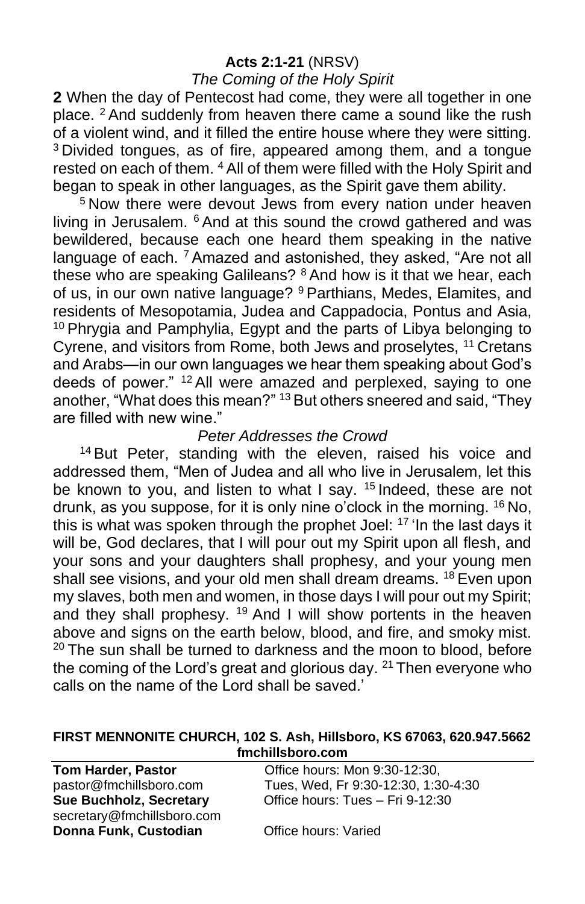### **Acts 2:1-21** (NRSV)

### *The Coming of the Holy Spirit*

**2** When the day of Pentecost had come, they were all together in one place. <sup>2</sup> And suddenly from heaven there came a sound like the rush of a violent wind, and it filled the entire house where they were sitting. <sup>3</sup> Divided tongues, as of fire, appeared among them, and a tongue rested on each of them. <sup>4</sup> All of them were filled with the Holy Spirit and began to speak in other languages, as the Spirit gave them ability.

<sup>5</sup> Now there were devout Jews from every nation under heaven living in Jerusalem. <sup>6</sup> And at this sound the crowd gathered and was bewildered, because each one heard them speaking in the native language of each. <sup>7</sup> Amazed and astonished, they asked, "Are not all these who are speaking Galileans? <sup>8</sup> And how is it that we hear, each of us, in our own native language? <sup>9</sup> Parthians, Medes, Elamites, and residents of Mesopotamia, Judea and Cappadocia, Pontus and Asia,  $10$  Phrygia and Pamphylia, Egypt and the parts of Libya belonging to Cyrene, and visitors from Rome, both Jews and proselytes, <sup>11</sup> Cretans and Arabs—in our own languages we hear them speaking about God's deeds of power." <sup>12</sup> All were amazed and perplexed, saying to one another, "What does this mean?" <sup>13</sup> But others sneered and said, "They are filled with new wine."

### *Peter Addresses the Crowd*

<sup>14</sup> But Peter, standing with the eleven, raised his voice and addressed them, "Men of Judea and all who live in Jerusalem, let this be known to you, and listen to what I say. <sup>15</sup> Indeed, these are not drunk, as you suppose, for it is only nine o'clock in the morning. <sup>16</sup> No, this is what was spoken through the prophet Joel: <sup>17</sup> 'In the last days it will be, God declares, that I will pour out my Spirit upon all flesh, and your sons and your daughters shall prophesy, and your young men shall see visions, and your old men shall dream dreams. <sup>18</sup> Even upon my slaves, both men and women, in those days I will pour out my Spirit; and they shall prophesy. <sup>19</sup> And I will show portents in the heaven above and signs on the earth below, blood, and fire, and smoky mist.  $20$  The sun shall be turned to darkness and the moon to blood, before the coming of the Lord's great and glorious day.  $21$  Then everyone who calls on the name of the Lord shall be saved.'

#### **FIRST MENNONITE CHURCH, 102 S. Ash, Hillsboro, KS 67063, 620.947.5662 fmchillsboro.com**

| <b>Tom Harder, Pastor</b>  | Office hours: Mon 9:30-12:30,       |
|----------------------------|-------------------------------------|
| pastor@fmchillsboro.com    | Tues, Wed, Fr 9:30-12:30, 1:30-4:30 |
| Sue Buchholz, Secretary    | Office hours: Tues - Fri 9-12:30    |
| secretary@fmchillsboro.com |                                     |
| Donna Funk, Custodian      | Office hours: Varied                |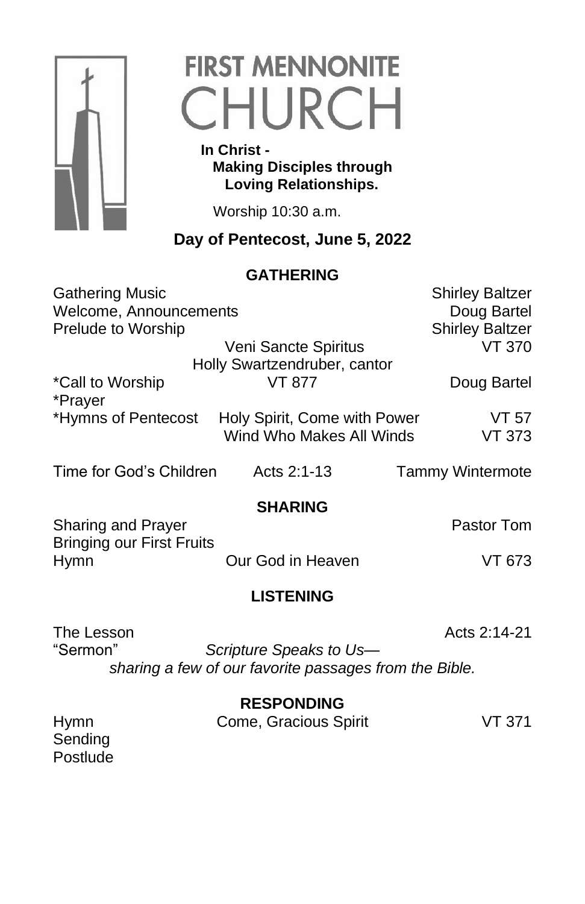

# **FIRST MENNONITE** CHURCH

 **In Christ - Making Disciples through Loving Relationships.**

Worship 10:30 a.m.

# **Day of Pentecost, June 5, 2022**

## **GATHERING**

| <b>Gathering Music</b>                          |                              | <b>Shirley Baltzer</b>  |  |
|-------------------------------------------------|------------------------------|-------------------------|--|
| Welcome, Announcements                          |                              | Doug Bartel             |  |
| Prelude to Worship                              |                              | <b>Shirley Baltzer</b>  |  |
|                                                 | Veni Sancte Spiritus         | <b>VT 370</b>           |  |
|                                                 | Holly Swartzendruber, cantor |                         |  |
| *Call to Worship                                | VT 877                       | Doug Bartel             |  |
| *Prayer                                         |                              |                         |  |
| *Hymns of Pentecost                             | Holy Spirit, Come with Power | VT 57                   |  |
|                                                 | Wind Who Makes All Winds     | VT 373                  |  |
| Time for God's Children                         | Acts 2:1-13                  | <b>Tammy Wintermote</b> |  |
|                                                 | <b>SHARING</b>               |                         |  |
| <b>Sharing and Prayer</b>                       |                              | Pastor Tom              |  |
| <b>Bringing our First Fruits</b><br><b>Hymn</b> | Our God in Heaven            | VT 673                  |  |
|                                                 |                              |                         |  |
| <b>LISTENING</b>                                |                              |                         |  |

The Lesson **Acts** 2:14-21

Postlude

"Sermon" *Scripture Speaks to Us sharing a few of our favorite passages from the Bible.*

**RESPONDING**

| <b>Hymn</b> | Come, Gracious Spirit | VT 371 |
|-------------|-----------------------|--------|
| Sending     |                       |        |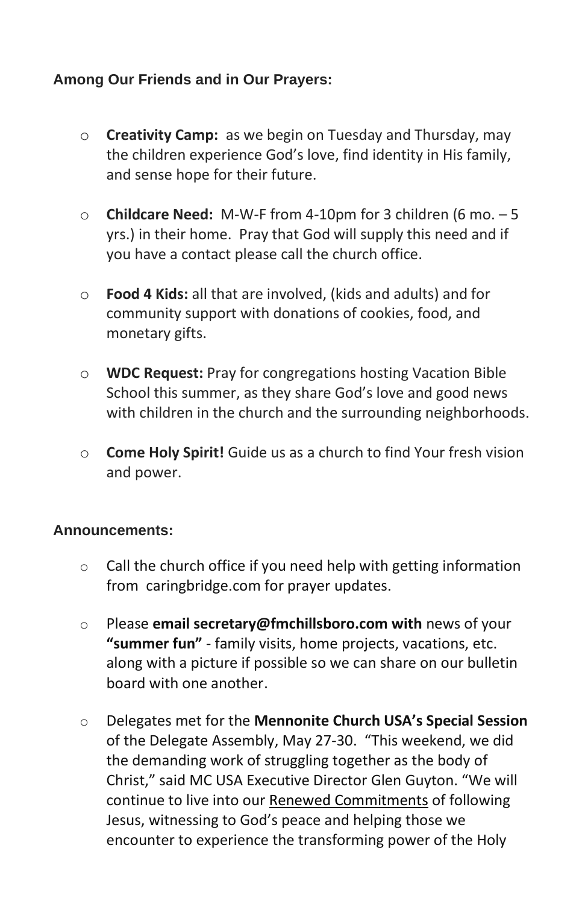### **Among Our Friends and in Our Prayers:**

- o **Creativity Camp:** as we begin on Tuesday and Thursday, may the children experience God's love, find identity in His family, and sense hope for their future.
- o **Childcare Need:** M-W-F from 4-10pm for 3 children (6 mo. 5 yrs.) in their home. Pray that God will supply this need and if you have a contact please call the church office.
- o **Food 4 Kids:** all that are involved, (kids and adults) and for community support with donations of cookies, food, and monetary gifts.
- o **WDC Request:** Pray for congregations hosting Vacation Bible School this summer, as they share God's love and good news with children in the church and the surrounding neighborhoods.
- o **Come Holy Spirit!** Guide us as a church to find Your fresh vision and power.

### **Announcements:**

- $\circ$  Call the church office if you need help with getting information from caringbridge.com for prayer updates.
- o Please **email secretary@fmchillsboro.com with** news of your **"summer fun"** - family visits, home projects, vacations, etc. along with a picture if possible so we can share on our bulletin board with one another.
- o Delegates met for the **Mennonite Church USA's Special Session** of the Delegate Assembly, May 27-30. "This weekend, we did the demanding work of struggling together as the body of Christ," said MC USA Executive Director Glen Guyton. "We will continue to live into our [Renewed Commitments](https://mennoniteusa.us1.list-manage.com/track/click?u=97f16d9c230780d6354d01572&id=2ad90b2605&e=f1cba2a9e6) of following Jesus, witnessing to God's peace and helping those we encounter to experience the transforming power of the Holy